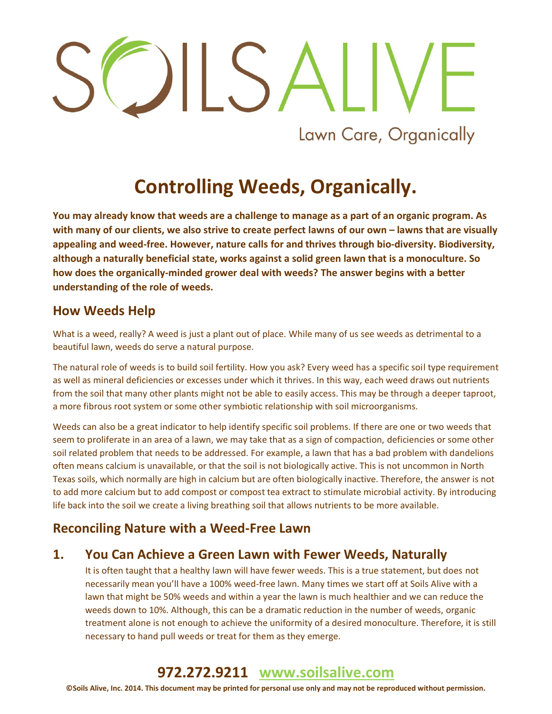# Lawn Care, Organically

# **Controlling Weeds, Organically.**

**You may already know that weeds are a challenge to manage as a part of an organic program. As with many of our clients, we also strive to create perfect lawns of our own – lawns that are visually appealing and weed-free. However, nature calls for and thrives through bio-diversity. Biodiversity, although a naturally beneficial state, works against a solid green lawn that is a monoculture. So how does the organically-minded grower deal with weeds? The answer begins with a better understanding of the role of weeds.** 

### **How Weeds Help**

What is a weed, really? A weed is just a plant out of place. While many of us see weeds as detrimental to a beautiful lawn, weeds do serve a natural purpose.

The natural role of weeds is to build soil fertility. How you ask? Every weed has a specific soil type requirement as well as mineral deficiencies or excesses under which it thrives. In this way, each weed draws out nutrients from the soil that many other plants might not be able to easily access. This may be through a deeper taproot, a more fibrous root system or some other symbiotic relationship with soil microorganisms.

Weeds can also be a great indicator to help identify specific soil problems. If there are one or two weeds that seem to proliferate in an area of a lawn, we may take that as a sign of compaction, deficiencies or some other soil related problem that needs to be addressed. For example, a lawn that has a bad problem with dandelions often means calcium is unavailable, or that the soil is not biologically active. This is not uncommon in North Texas soils, which normally are high in calcium but are often biologically inactive. Therefore, the answer is not to add more calcium but to add compost or compost tea extract to stimulate microbial activity. By introducing life back into the soil we create a living breathing soil that allows nutrients to be more available.

### **Reconciling Nature with a Weed-Free Lawn**

### **1. You Can Achieve a Green Lawn with Fewer Weeds, Naturally**

It is often taught that a healthy lawn will have fewer weeds. This is a true statement, but does not necessarily mean you'll have a 100% weed-free lawn. Many times we start off at Soils Alive with a lawn that might be 50% weeds and within a year the lawn is much healthier and we can reduce the weeds down to 10%. Although, this can be a dramatic reduction in the number of weeds, organic treatment alone is not enough to achieve the uniformity of a desired monoculture. Therefore, it is still necessary to hand pull weeds or treat for them as they emerge.

## **972.272.9211 [www.soilsalive.com](http://www.soilsalive.com/)**

**©Soils Alive, Inc. 2014. This document may be printed for personal use only and may not be reproduced without permission.**